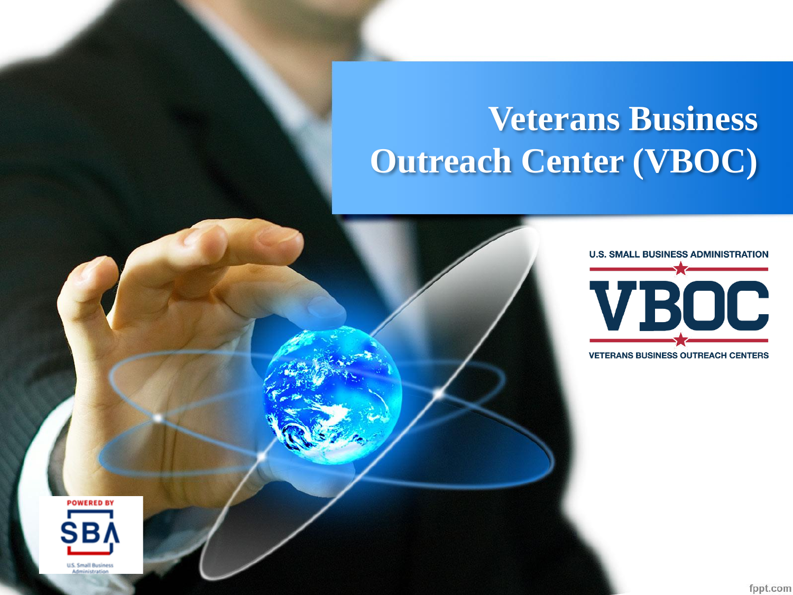## **Veterans Business Outreach Center (VBOC)**



**VETERANS BUSINESS OUTREACH CENTERS** 

**POWERED BY SBI** 

fppt.com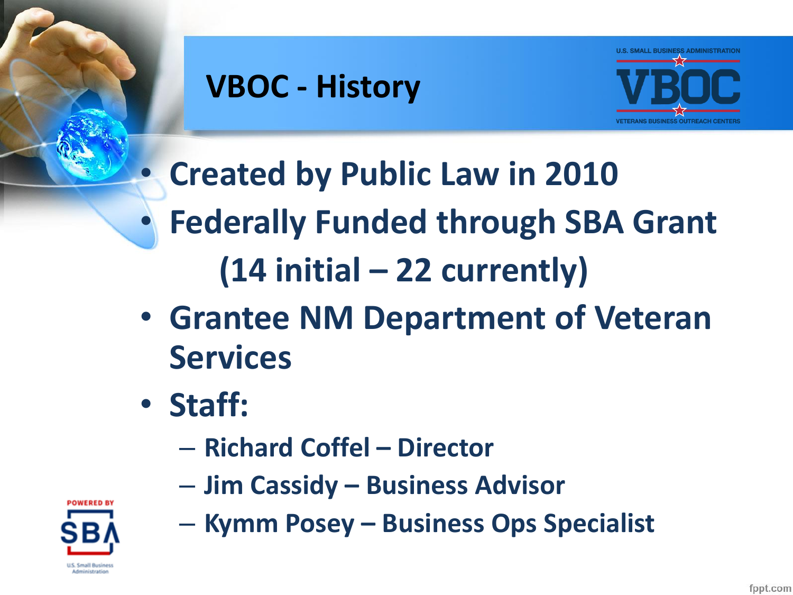

## **VBOC - History**



• **Created by Public Law in 2010** • **Federally Funded through SBA Grant (14 initial – 22 currently)**

- **Grantee NM Department of Veteran Services**
- **Staff:**
	- **Richard Coffel – Director**
	- **Jim Cassidy – Business Advisor**



– **Kymm Posey – Business Ops Specialist**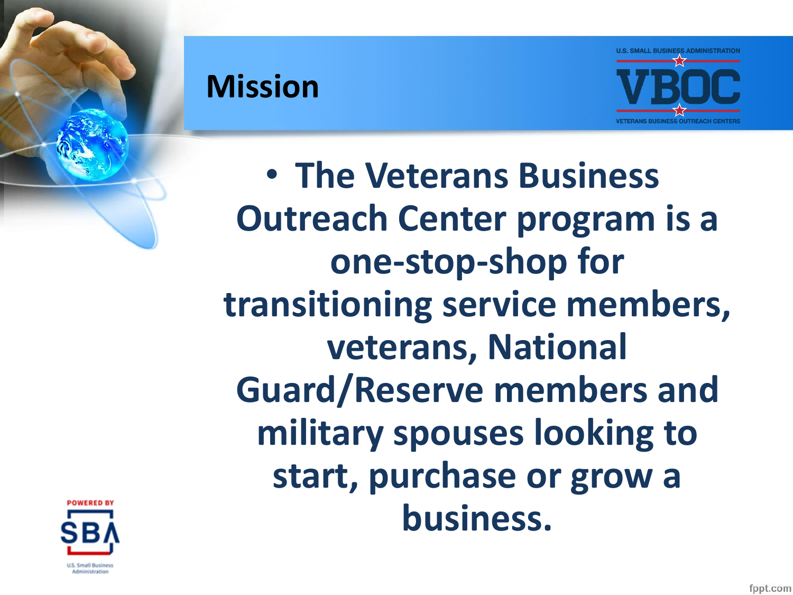



• **The Veterans Business Outreach Center program is a one-stop-shop for transitioning service members, veterans, National Guard/Reserve members and military spouses looking to start, purchase or grow a business.**

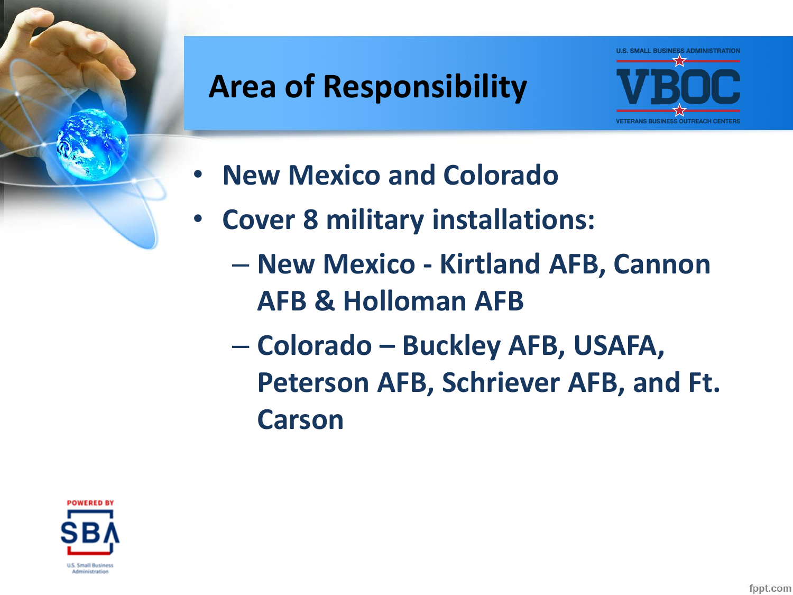#### **Area of Responsibility**



- **New Mexico and Colorado**
- **Cover 8 military installations:** 
	- **New Mexico - Kirtland AFB, Cannon AFB & Holloman AFB**
	- **Colorado – Buckley AFB, USAFA, Peterson AFB, Schriever AFB, and Ft. Carson**

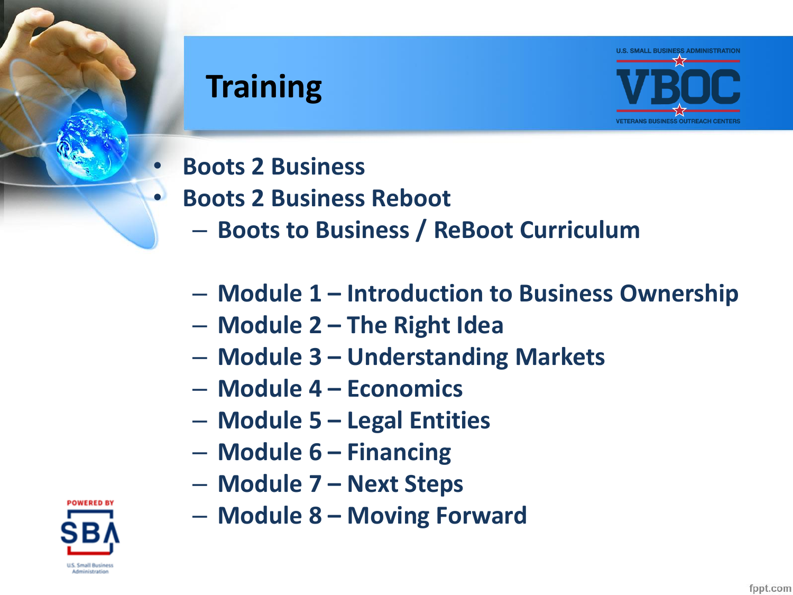#### **Training**



- **Boots 2 Business**
- **Boots 2 Business Reboot**
	- **Boots to Business / ReBoot Curriculum**
	- **Module 1 – Introduction to Business Ownership**
	- **Module 2 – The Right Idea**
	- **Module 3 – Understanding Markets**
	- **Module 4 – Economics**
	- **Module 5 – Legal Entities**
	- **Module 6 – Financing**
	- **Module 7 – Next Steps**
	- **Module 8 – Moving Forward**

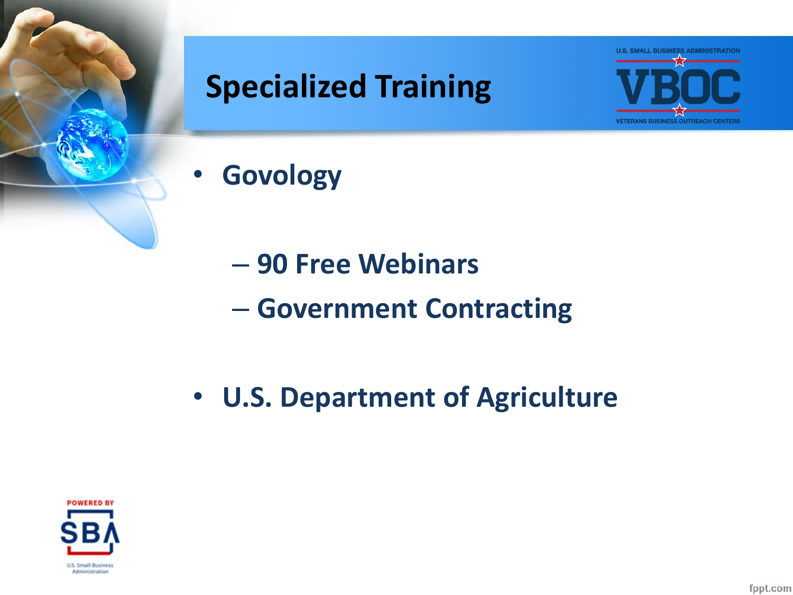



- **Govology**
	- **90 Free Webinars** – **Government Contracting**
- **U.S. Department of Agriculture**

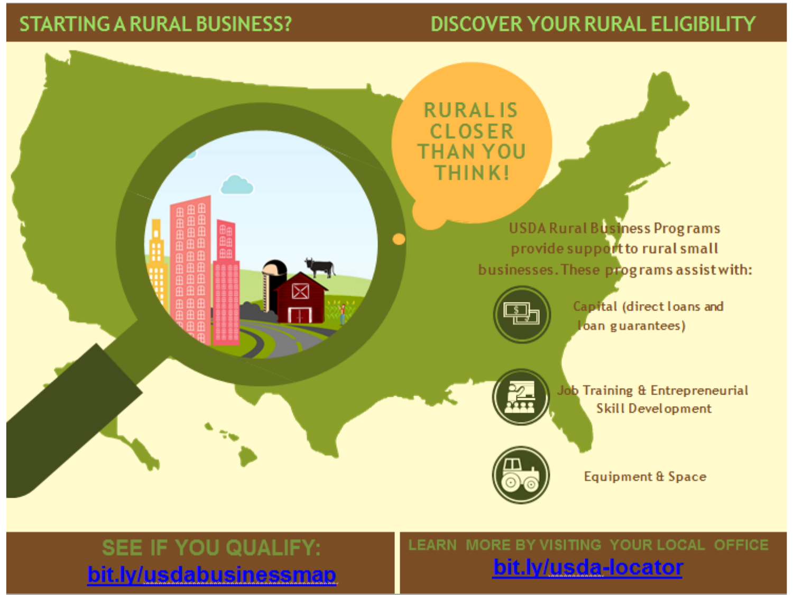#### **STARTING A RURAL BUSINESS?**

#### DISCOVER YOUR RURAL ELIGIBILITY



SEE IF YOU QUALIFY: bit.ly/usdabusinessmap LEARN MORE BY VISITING YOUR LOCAL OFFICE bit.ly/usda-locator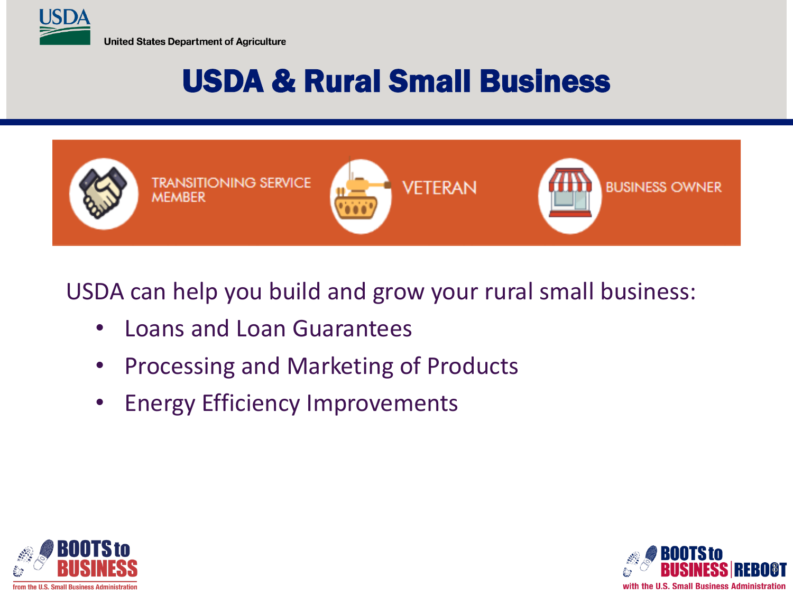

#### USDA & Rural Small Business



#### USDA can help you build and grow your rural small business:

- Loans and Loan Guarantees
- Processing and Marketing of Products
- Energy Efficiency Improvements



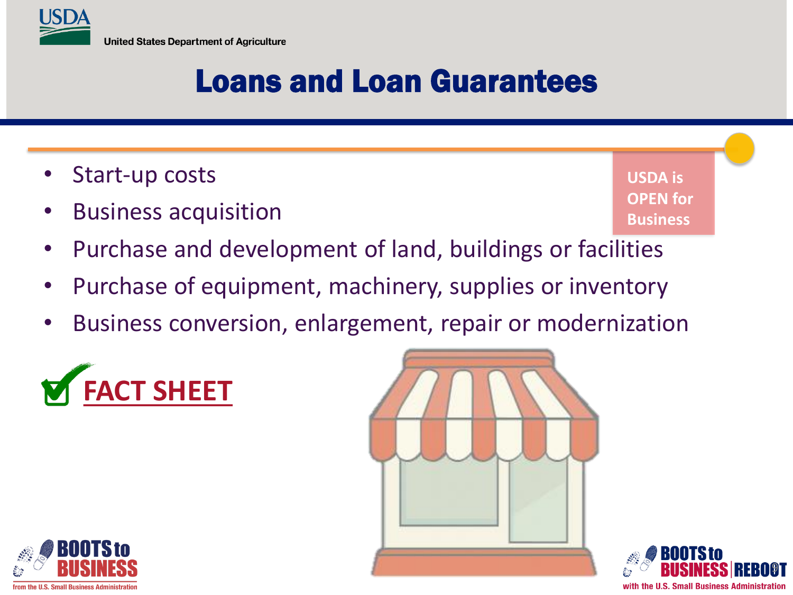

#### Loans and Loan Guarantees

- Start-up costs
- Business acquisition

**USDA is OPEN for Business**

9

with the U.S. Small Business Administration

- Purchase and development of land, buildings or facilities
- Purchase of equipment, machinery, supplies or inventory
- Business conversion, enlargement, repair or modernization





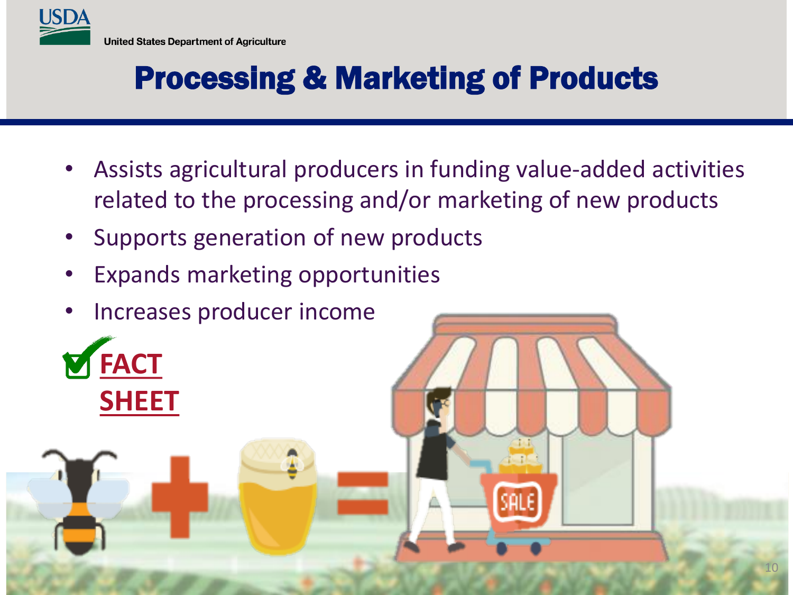

#### Processing & Marketing of Products

- Assists agricultural producers in funding value-added activities related to the processing and/or marketing of new products
- Supports generation of new products
- Expands marketing opportunities
- Increases producer income

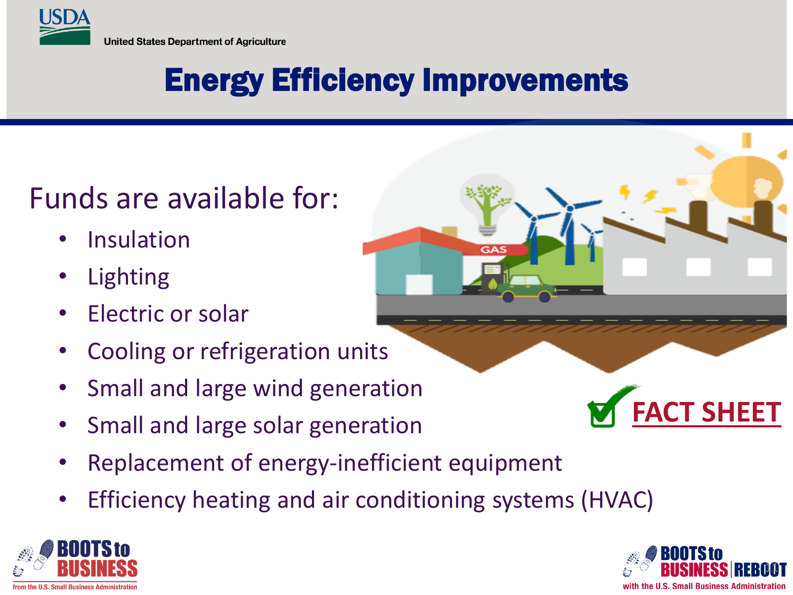

## Energy Efficiency Improvements

#### Funds are available for:

- **Insulation**
- **Lighting**
- **Electric or solar**
- Cooling or refrigeration units
- Small and large wind generation
- Small and large solar generation
- Replacement of energy-inefficient equipment
- Efficiency heating and air conditioning systems (HVAC)





**[FACT SHEET](https://www.rd.usda.gov/files/RD_FactSheet_RBS_REAP_RE_EE.pdf)**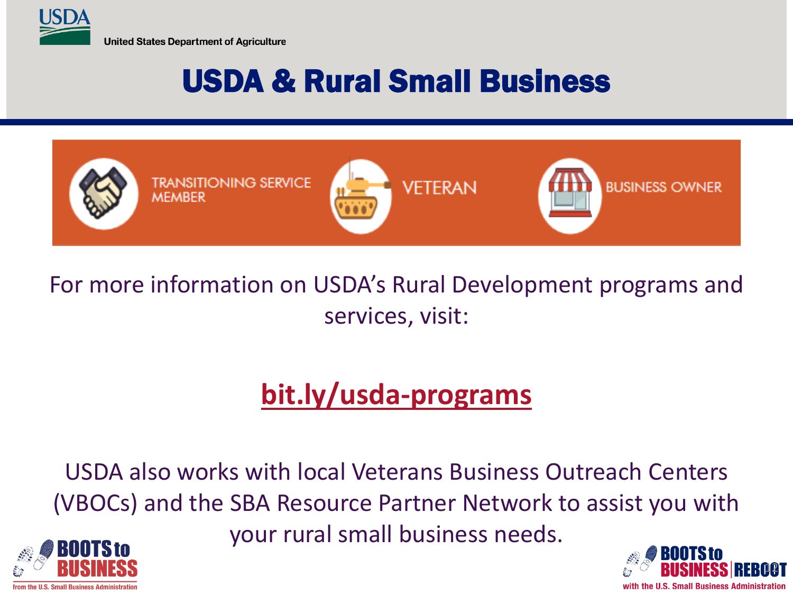

#### USDA & Rural Small Business



#### For more information on USDA's Rural Development programs and services, visit:

#### **[bit.ly/usda-programs](https://www.rd.usda.gov/programs-services)**

USDA also works with local Veterans Business Outreach Centers (VBOCs) and the SBA Resource Partner Network to assist you with

your rural small business needs.



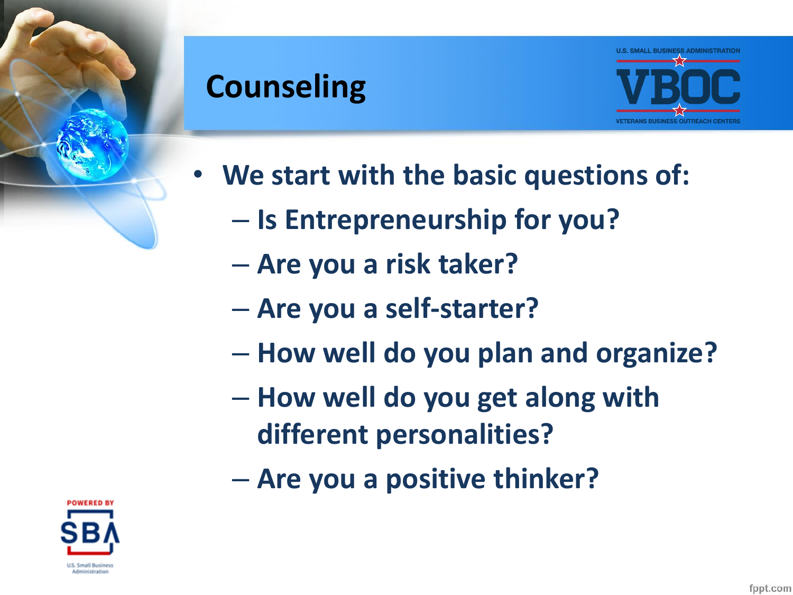#### **Counseling**



- **We start with the basic questions of:**
	- **Is Entrepreneurship for you?**
	- **Are you a risk taker?**
	- **Are you a self-starter?**
	- **How well do you plan and organize?**
	- **How well do you get along with different personalities?**
	- **Are you a positive thinker?**

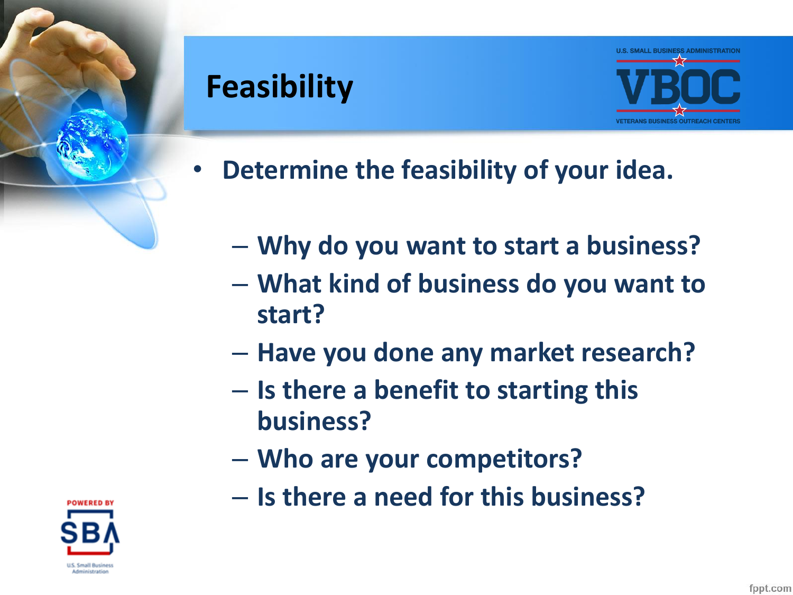#### **Feasibility**



- **Determine the feasibility of your idea.**
	- **Why do you want to start a business?**
	- **What kind of business do you want to start?**
	- **Have you done any market research?**
	- **Is there a benefit to starting this business?**
	- **Who are your competitors?**
	- **Is there a need for this business?**

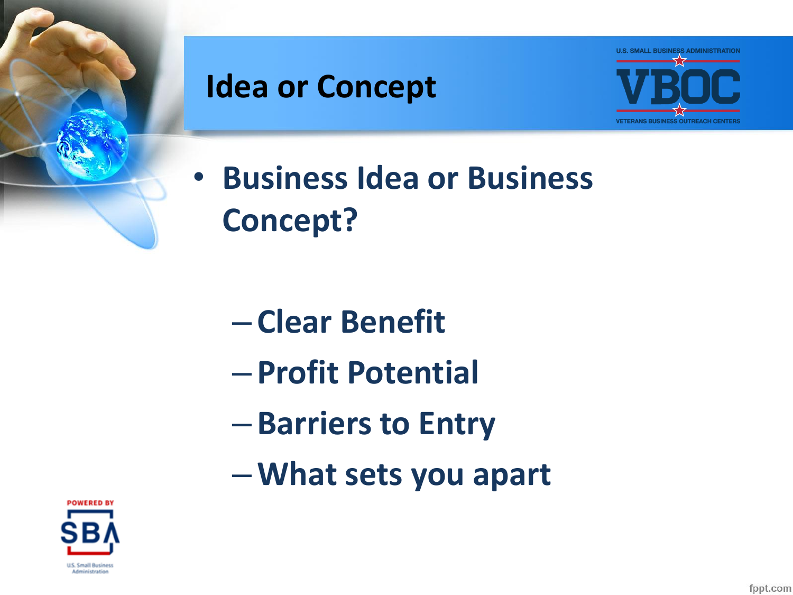

#### **Idea or Concept**



• **Business Idea or Business Concept?**

- **Clear Benefit**
- **Profit Potential**
- **Barriers to Entry**
- –**What sets you apart**

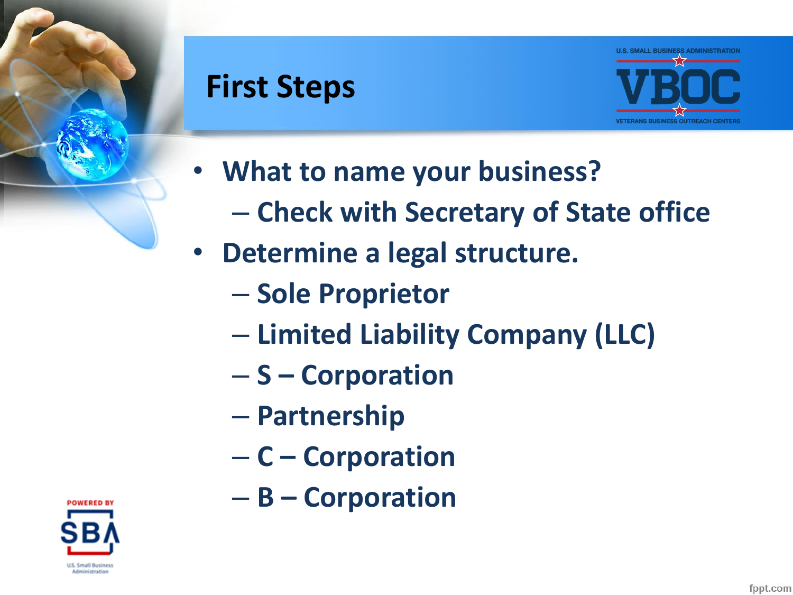#### **First Steps**



- **What to name your business?**
	- **Check with Secretary of State office**
- **Determine a legal structure.**
	- **Sole Proprietor**
	- **Limited Liability Company (LLC)**
	- **S – Corporation**
	- **Partnership**
	- **C – Corporation**
	- **B – Corporation**

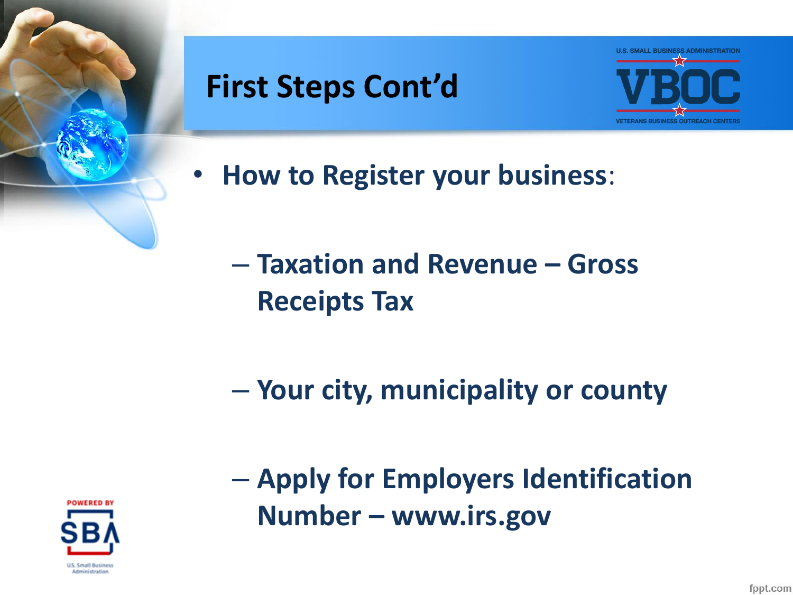

#### **First Steps Cont'd**



- **How to Register your business**:
	- **Taxation and Revenue – Gross Receipts Tax**
	- **Your city, municipality or county**



– **Apply for Employers Identification Number – www.irs.gov**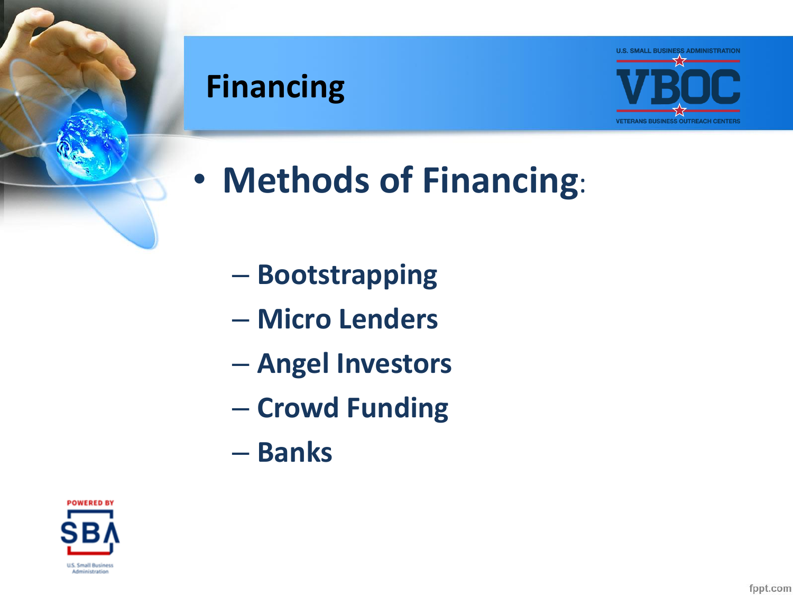#### **Financing**



- **Methods of Financing**:
	- **Bootstrapping**
	- **Micro Lenders**
	- **Angel Investors**
	- **Crowd Funding**
	- **Banks**

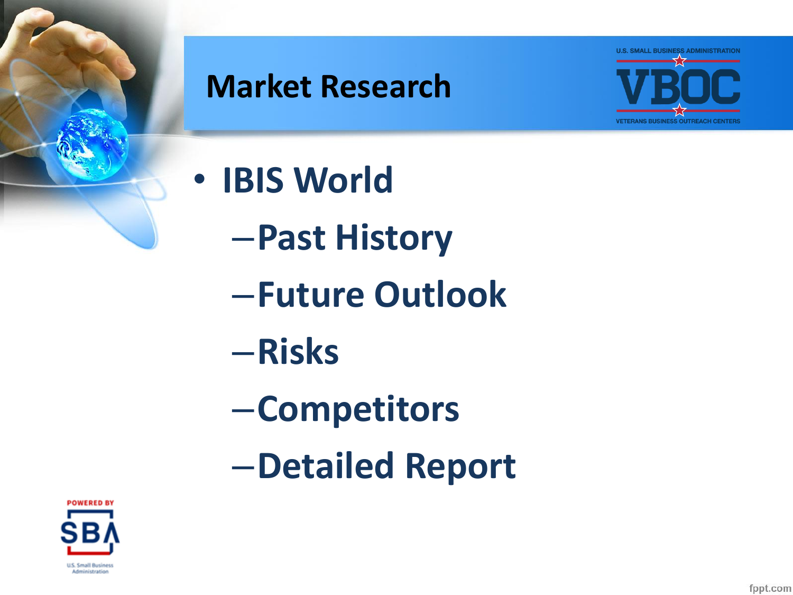

#### **Market Research**



- **IBIS World**
	- –**Past History**
	- –**Future Outlook**
	- –**Risks**
	- –**Competitors**
	- –**Detailed Report**

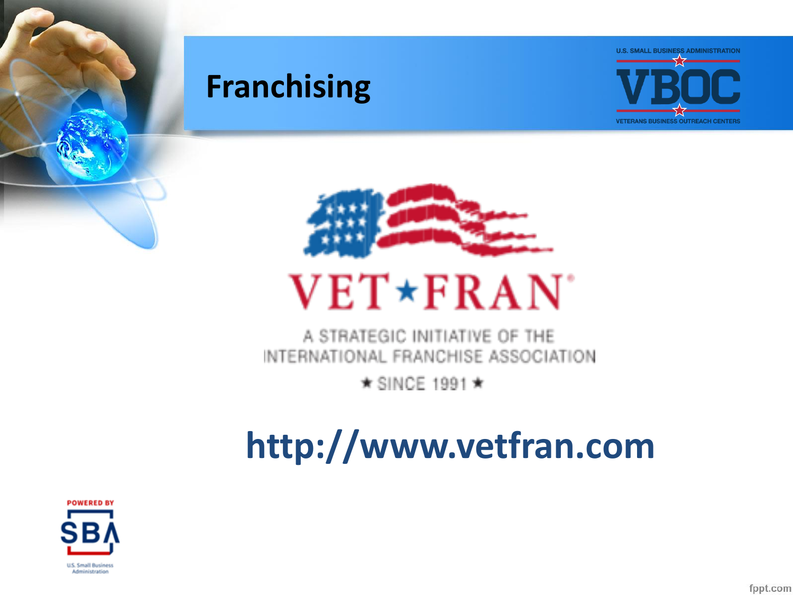

#### **Franchising**





# **VET\*FRAN**

A STRATEGIC INITIATIVE OF THE INTERNATIONAL FRANCHISE ASSOCIATION

 $\star$  SINCE 1991  $\star$ 

## **http://www.vetfran.com**

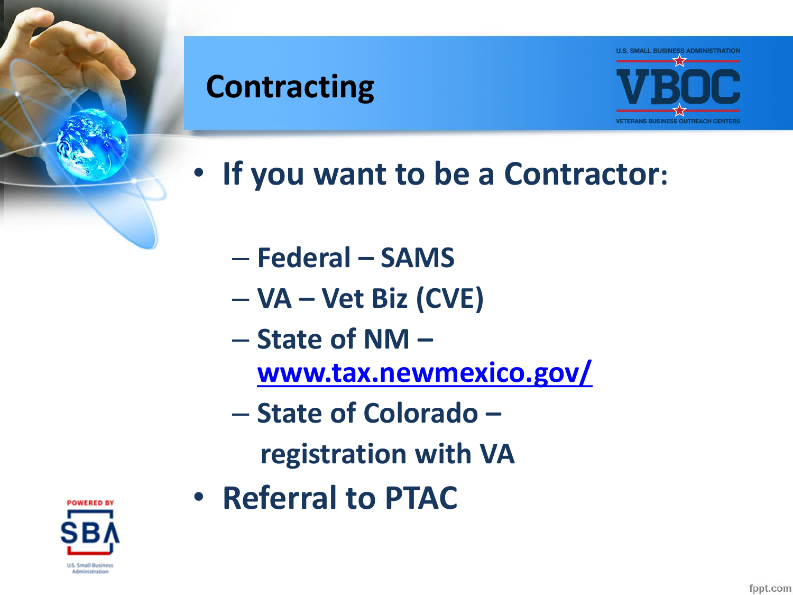

#### **Contracting**



- **If you want to be a Contractor:** 
	- **Federal – SAMS**
	- **VA – Vet Biz (CVE)**
	- **State of NM –**
		- **[www.tax.newmexico.gov/](http://www.tax.newmexico.gov/)**
	- **State of Colorado –**
		- **registration with VA**
- **Referral to PTAC**

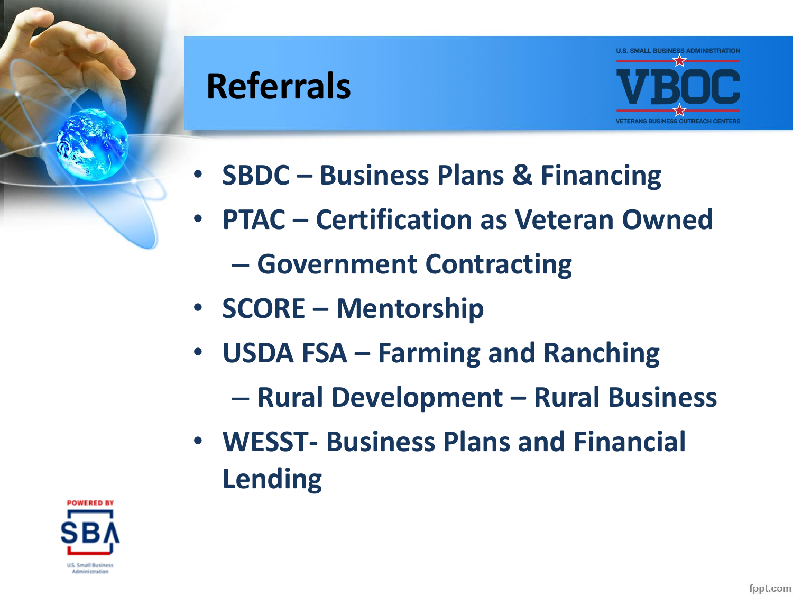

## **Referrals**



- **SBDC – Business Plans & Financing**
- **PTAC – Certification as Veteran Owned**
	- **Government Contracting**
- **SCORE – Mentorship**
- **USDA FSA – Farming and Ranching**
	- **Rural Development – Rural Business**
- **WESST- Business Plans and Financial Lending**

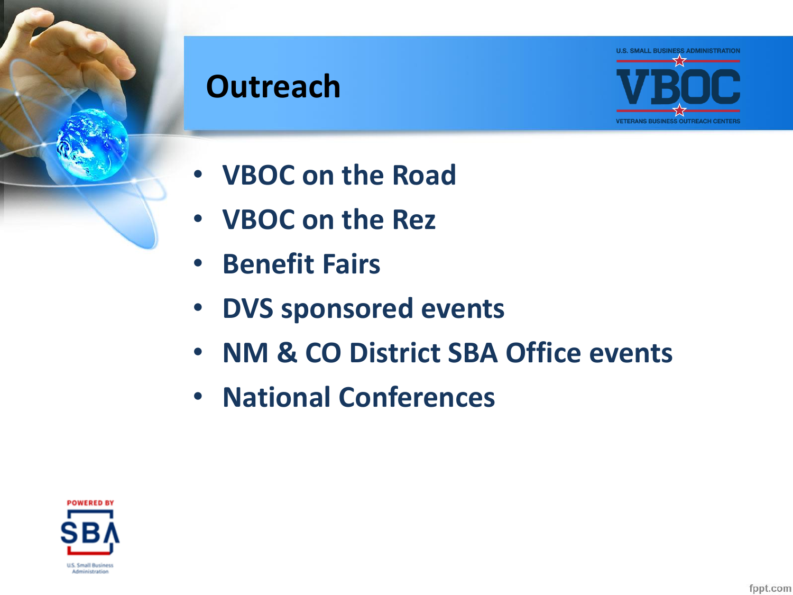

#### **Outreach**



- **VBOC on the Road**
- **VBOC on the Rez**
- **Benefit Fairs**
- **DVS sponsored events**
- **NM & CO District SBA Office events**
- **National Conferences**